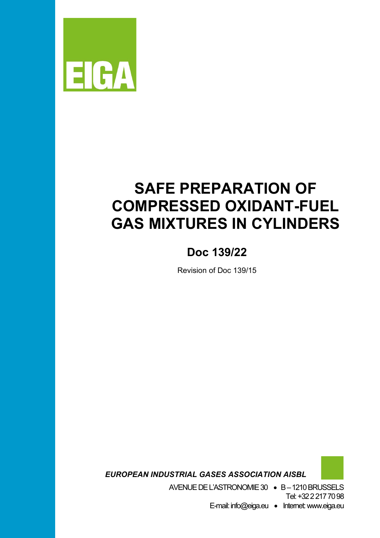

# **SAFE PREPARATION OF COMPRESSED OXIDANT-FUEL GAS MIXTURES IN CYLINDERS**

### **Doc 139/22**

Revision of Doc 139/15

*EUROPEAN INDUSTRIAL GASES ASSOCIATION AISBL*

AVENUE DE L'ASTRONOMIE 30 • B –1210 BRUSSELS Tel: +32 2 217 70 98 E-mail: info@eiga.eu • Internet: www.eiga.eu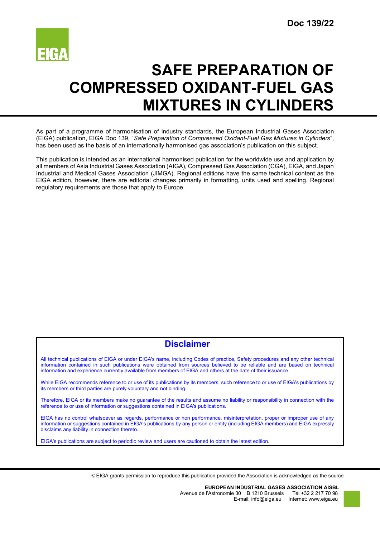

## **SAFE PREPARATION OF COMPRESSED OXIDANT-FUEL GAS MIXTURES IN CYLINDERS**

As part of a programme of harmonisation of industry standards, the European Industrial Gases Association (EIGA) publication, EIGA Doc 139, "*Safe Preparation of Compressed Oxidant-Fuel Gas Mixtures in Cylinders*", has been used as the basis of an internationally harmonised gas association's publication on this subject.

This publication is intended as an international harmonised publication for the worldwide use and application by all members of Asia Industrial Gases Association (AIGA), Compressed Gas Association (CGA), EIGA, and Japan Industrial and Medical Gases Association (JIMGA). Regional editions have the same technical content as the EIGA edition, however, there are editorial changes primarily in formatting, units used and spelling. Regional regulatory requirements are those that apply to Europe.

### **Disclaimer**

All technical publications of EIGA or under EIGA's name, including Codes of practice, Safety procedures and any other technical information contained in such publications were obtained from sources believed to be reliable and are based on technical information and experience currently available from members of EIGA and others at the date of their issuance.

While EIGA recommends reference to or use of its publications by its members, such reference to or use of EIGA's publications by its members or third parties are purely voluntary and not binding.

Therefore, EIGA or its members make no guarantee of the results and assume no liability or responsibility in connection with the reference to or use of information or suggestions contained in EIGA's publications.

EIGA has no control whatsoever as regards, performance or non performance, misinterpretation, proper or improper use of any information or suggestions contained in EIGA's publications by any person or entity (including EIGA members) and EIGA expressly disclaims any liability in connection thereto.

EIGA's publications are subject to periodic review and users are cautioned to obtain the latest edition.

EIGA grants permission to reproduce this publication provided the Association is acknowledged as the source

**EUROPEAN INDUSTRIAL GASES ASSOCIATION AISBL** Avenue de l'Astronomie 30 B 1210 Brussels E-mail: info@eiga.eu Internet: www.eiga.eu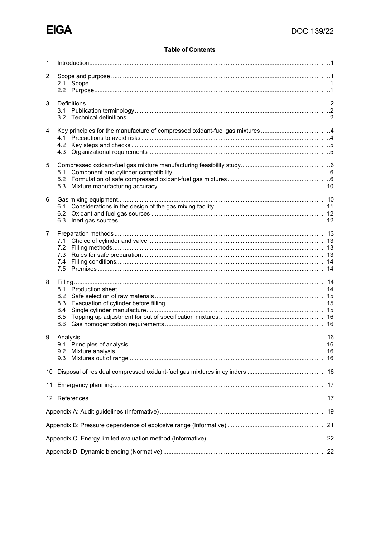#### **Table of Contents**

| 1              |          |  |
|----------------|----------|--|
| $\overline{2}$ |          |  |
|                |          |  |
|                |          |  |
| 3              |          |  |
|                |          |  |
|                |          |  |
| 4              |          |  |
|                | 4.1      |  |
|                |          |  |
|                |          |  |
| 5              |          |  |
|                |          |  |
|                |          |  |
|                |          |  |
| 6              |          |  |
|                |          |  |
|                | 6.3      |  |
| $\overline{7}$ |          |  |
|                |          |  |
|                |          |  |
|                |          |  |
|                | 7.4      |  |
|                |          |  |
| 8              |          |  |
|                |          |  |
|                | 8.3      |  |
|                | 8.4      |  |
|                | 8.5      |  |
|                | 8.6      |  |
| 9              | Analysis |  |
|                |          |  |
|                | 9.3      |  |
|                |          |  |
| 10             |          |  |
| 11             |          |  |
|                |          |  |
|                |          |  |
|                |          |  |
|                |          |  |
|                |          |  |
|                |          |  |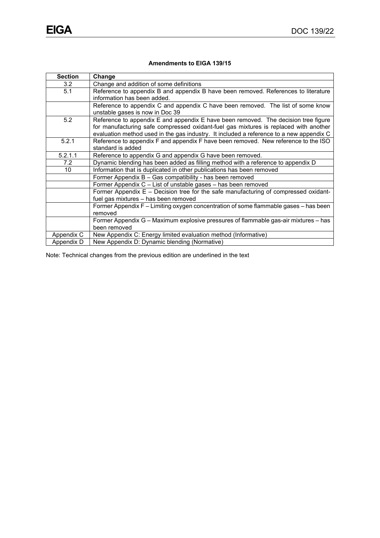#### **Amendments to EIGA 139/15**

| <b>Section</b> | Change                                                                                                                                                                                                                                                                |
|----------------|-----------------------------------------------------------------------------------------------------------------------------------------------------------------------------------------------------------------------------------------------------------------------|
| 3.2            | Change and addition of some definitions                                                                                                                                                                                                                               |
| 5.1            | Reference to appendix B and appendix B have been removed. References to literature<br>information has been added.                                                                                                                                                     |
|                | Reference to appendix C and appendix C have been removed. The list of some know<br>unstable gases is now in Doc 39                                                                                                                                                    |
| 5.2            | Reference to appendix E and appendix E have been removed. The decision tree figure<br>for manufacturing safe compressed oxidant-fuel gas mixtures is replaced with another<br>evaluation method used in the gas industry. It included a reference to a new appendix C |
| 5.2.1          | Reference to appendix F and appendix F have been removed. New reference to the ISO<br>standard is added                                                                                                                                                               |
| 5.2.1.1        | Reference to appendix G and appendix G have been removed.                                                                                                                                                                                                             |
| 7.2            | Dynamic blending has been added as filling method with a reference to appendix D                                                                                                                                                                                      |
| 10             | Information that is duplicated in other publications has been removed                                                                                                                                                                                                 |
|                | Former Appendix B - Gas compatibility - has been removed                                                                                                                                                                                                              |
|                | Former Appendix C - List of unstable gases - has been removed                                                                                                                                                                                                         |
|                | Former Appendix E - Decision tree for the safe manufacturing of compressed oxidant-<br>fuel gas mixtures - has been removed                                                                                                                                           |
|                | Former Appendix F – Limiting oxygen concentration of some flammable gases – has been<br>removed                                                                                                                                                                       |
|                | Former Appendix G - Maximum explosive pressures of flammable gas-air mixtures - has<br>been removed                                                                                                                                                                   |
| Appendix C     | New Appendix C: Energy limited evaluation method (Informative)                                                                                                                                                                                                        |
| Appendix D     | New Appendix D: Dynamic blending (Normative)                                                                                                                                                                                                                          |

Note: Technical changes from the previous edition are underlined in the text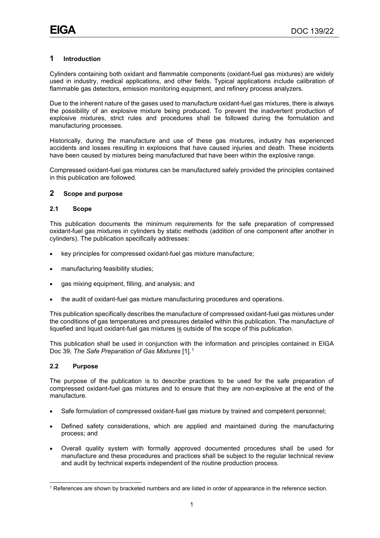#### <span id="page-4-0"></span>**1 Introduction**

Cylinders containing both oxidant and flammable components (oxidant-fuel gas mixtures) are widely used in industry, medical applications, and other fields. Typical applications include calibration of flammable gas detectors, emission monitoring equipment, and refinery process analyzers.

Due to the inherent nature of the gases used to manufacture oxidant-fuel gas mixtures, there is always the possibility of an explosive mixture being produced. To prevent the inadvertent production of explosive mixtures, strict rules and procedures shall be followed during the formulation and manufacturing processes.

Historically, during the manufacture and use of these gas mixtures, industry has experienced accidents and losses resulting in explosions that have caused injuries and death. These incidents have been caused by mixtures being manufactured that have been within the explosive range.

Compressed oxidant-fuel gas mixtures can be manufactured safely provided the principles contained in this publication are followed.

#### <span id="page-4-1"></span>**2 Scope and purpose**

#### <span id="page-4-2"></span>**2.1 Scope**

This publication documents the minimum requirements for the safe preparation of compressed oxidant-fuel gas mixtures in cylinders by static methods (addition of one component after another in cylinders). The publication specifically addresses:

- key principles for compressed oxidant-fuel gas mixture manufacture;
- manufacturing feasibility studies;
- gas mixing equipment, filling, and analysis; and
- the audit of oxidant-fuel gas mixture manufacturing procedures and operations.

This publication specifically describes the manufacture of compressed oxidant-fuel gas mixtures under the conditions of gas temperatures and pressures detailed within this publication. The manufacture of liquefied and liquid oxidant-fuel gas mixtures is outside of the scope of this publication.

This publication shall be used in conjunction with the information and principles contained in EIGA Doc 39, *The Safe Preparation of Gas Mixtures* [1].[1](#page-4-4)

#### <span id="page-4-3"></span>**2.2 Purpose**

The purpose of the publication is to describe practices to be used for the safe preparation of compressed oxidant-fuel gas mixtures and to ensure that they are non-explosive at the end of the manufacture.

- Safe formulation of compressed oxidant-fuel gas mixture by trained and competent personnel;
- Defined safety considerations, which are applied and maintained during the manufacturing process; and
- Overall quality system with formally approved documented procedures shall be used for manufacture and these procedures and practices shall be subject to the regular technical review and audit by technical experts independent of the routine production process.

<span id="page-4-4"></span><sup>1</sup> References are shown by bracketed numbers and are listed in order of appearance in the reference section.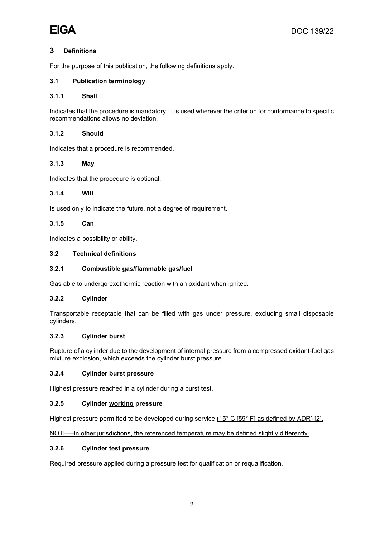#### <span id="page-5-0"></span>**3 Definitions**

For the purpose of this publication, the following definitions apply.

#### <span id="page-5-1"></span>**3.1 Publication terminology**

#### **3.1.1 Shall**

Indicates that the procedure is mandatory. It is used wherever the criterion for conformance to specific recommendations allows no deviation.

#### **3.1.2 Should**

Indicates that a procedure is recommended.

#### **3.1.3 May**

Indicates that the procedure is optional.

#### **3.1.4 Will**

Is used only to indicate the future, not a degree of requirement.

#### **3.1.5 Can**

Indicates a possibility or ability.

#### <span id="page-5-2"></span>**3.2 Technical definitions**

#### **3.2.1 Combustible gas/flammable gas/fuel**

Gas able to undergo exothermic reaction with an oxidant when ignited.

#### **3.2.2 Cylinder**

Transportable receptacle that can be filled with gas under pressure, excluding small disposable cylinders.

#### **3.2.3 Cylinder burst**

Rupture of a cylinder due to the development of internal pressure from a compressed oxidant-fuel gas mixture explosion, which exceeds the cylinder burst pressure.

#### **3.2.4 Cylinder burst pressure**

Highest pressure reached in a cylinder during a burst test.

#### **3.2.5 Cylinder working pressure**

Highest pressure permitted to be developed during service (15° C [59° F] as defined by ADR) [2].

NOTE—In other jurisdictions, the referenced temperature may be defined slightly differently.

#### **3.2.6 Cylinder test pressure**

Required pressure applied during a pressure test for qualification or requalification.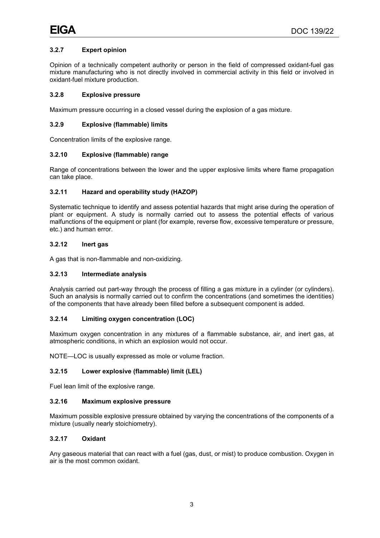#### **3.2.7 Expert opinion**

Opinion of a technically competent authority or person in the field of compressed oxidant-fuel gas mixture manufacturing who is not directly involved in commercial activity in this field or involved in oxidant-fuel mixture production.

#### **3.2.8 Explosive pressure**

Maximum pressure occurring in a closed vessel during the explosion of a gas mixture.

#### **3.2.9 Explosive (flammable) limits**

Concentration limits of the explosive range.

#### **3.2.10 Explosive (flammable) range**

Range of concentrations between the lower and the upper explosive limits where flame propagation can take place.

#### **3.2.11 Hazard and operability study (HAZOP)**

Systematic technique to identify and assess potential hazards that might arise during the operation of plant or equipment. A study is normally carried out to assess the potential effects of various malfunctions of the equipment or plant (for example, reverse flow, excessive temperature or pressure, etc.) and human error.

#### **3.2.12 Inert gas**

A gas that is non-flammable and non-oxidizing.

#### **3.2.13 Intermediate analysis**

Analysis carried out part-way through the process of filling a gas mixture in a cylinder (or cylinders). Such an analysis is normally carried out to confirm the concentrations (and sometimes the identities) of the components that have already been filled before a subsequent component is added.

#### **3.2.14 Limiting oxygen concentration (LOC)**

Maximum oxygen concentration in any mixtures of a flammable substance, air, and inert gas, at atmospheric conditions, in which an explosion would not occur.

NOTE—LOC is usually expressed as mole or volume fraction.

#### **3.2.15 Lower explosive (flammable) limit (LEL)**

Fuel lean limit of the explosive range.

#### **3.2.16 Maximum explosive pressure**

Maximum possible explosive pressure obtained by varying the concentrations of the components of a mixture (usually nearly stoichiometry).

#### **3.2.17 Oxidant**

Any gaseous material that can react with a fuel (gas, dust, or mist) to produce combustion. Oxygen in air is the most common oxidant.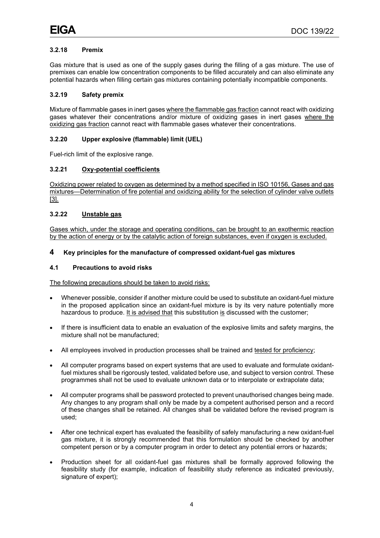#### **3.2.18 Premix**

Gas mixture that is used as one of the supply gases during the filling of a gas mixture. The use of premixes can enable low concentration components to be filled accurately and can also eliminate any potential hazards when filling certain gas mixtures containing potentially incompatible components.

#### **3.2.19 Safety premix**

Mixture of flammable gases in inert gases where the flammable gas fraction cannot react with oxidizing gases whatever their concentrations and/or mixture of oxidizing gases in inert gases where the oxidizing gas fraction cannot react with flammable gases whatever their concentrations.

#### **3.2.20 Upper explosive (flammable) limit (UEL)**

Fuel-rich limit of the explosive range.

#### **3.2.21 Oxy-potential coefficients**

Oxidizing power related to oxygen as determined by a method specified in ISO 10156, Gases and gas mixtures—Determination of fire potential and oxidizing ability for the selection of cylinder valve outlets [3].

#### **3.2.22 Unstable gas**

Gases which, under the storage and operating conditions, can be brought to an exothermic reaction by the action of energy or by the catalytic action of foreign substances, even if oxygen is excluded.

#### <span id="page-7-0"></span>**4 Key principles for the manufacture of compressed oxidant-fuel gas mixtures**

#### <span id="page-7-1"></span>**4.1 Precautions to avoid risks**

The following precautions should be taken to avoid risks:

- Whenever possible, consider if another mixture could be used to substitute an oxidant-fuel mixture in the proposed application since an oxidant-fuel mixture is by its very nature potentially more hazardous to produce. It is advised that this substitution is discussed with the customer;
- If there is insufficient data to enable an evaluation of the explosive limits and safety margins, the mixture shall not be manufactured;
- All employees involved in production processes shall be trained and tested for proficiency;
- All computer programs based on expert systems that are used to evaluate and formulate oxidantfuel mixtures shall be rigorously tested, validated before use, and subject to version control. These programmes shall not be used to evaluate unknown data or to interpolate or extrapolate data;
- All computer programs shall be password protected to prevent unauthorised changes being made. Any changes to any program shall only be made by a competent authorised person and a record of these changes shall be retained. All changes shall be validated before the revised program is used;
- After one technical expert has evaluated the feasibility of safely manufacturing a new oxidant-fuel gas mixture, it is strongly recommended that this formulation should be checked by another competent person or by a computer program in order to detect any potential errors or hazards;
- Production sheet for all oxidant-fuel gas mixtures shall be formally approved following the feasibility study (for example, indication of feasibility study reference as indicated previously, signature of expert);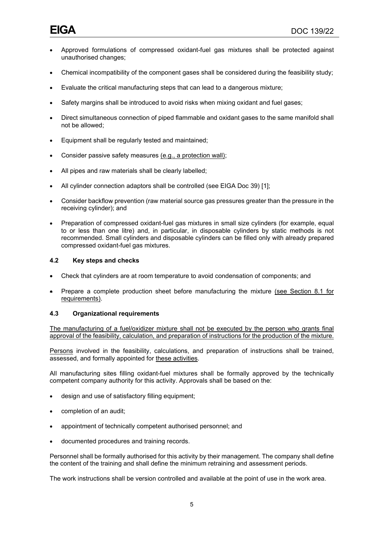- Approved formulations of compressed oxidant-fuel gas mixtures shall be protected against unauthorised changes;
- Chemical incompatibility of the component gases shall be considered during the feasibility study;
- Evaluate the critical manufacturing steps that can lead to a dangerous mixture;
- Safety margins shall be introduced to avoid risks when mixing oxidant and fuel gases;
- Direct simultaneous connection of piped flammable and oxidant gases to the same manifold shall not be allowed;
- Equipment shall be regularly tested and maintained;
- Consider passive safety measures (e.g., a protection wall);
- All pipes and raw materials shall be clearly labelled;
- All cylinder connection adaptors shall be controlled (see EIGA Doc 39) [1];
- Consider backflow prevention (raw material source gas pressures greater than the pressure in the receiving cylinder); and
- Preparation of compressed oxidant-fuel gas mixtures in small size cylinders (for example, equal to or less than one litre) and, in particular, in disposable cylinders by static methods is not recommended. Small cylinders and disposable cylinders can be filled only with already prepared compressed oxidant-fuel gas mixtures.

#### <span id="page-8-0"></span>**4.2 Key steps and checks**

- Check that cylinders are at room temperature to avoid condensation of components; and
- Prepare a complete production sheet before manufacturing the mixture (see Section 8.1 for requirements).

#### <span id="page-8-1"></span>**4.3 Organizational requirements**

The manufacturing of a fuel/oxidizer mixture shall not be executed by the person who grants final approval of the feasibility, calculation, and preparation of instructions for the production of the mixture.

Persons involved in the feasibility, calculations, and preparation of instructions shall be trained, assessed, and formally appointed for these activities.

All manufacturing sites filling oxidant-fuel mixtures shall be formally approved by the technically competent company authority for this activity. Approvals shall be based on the:

- design and use of satisfactory filling equipment;
- completion of an audit;
- appointment of technically competent authorised personnel; and
- documented procedures and training records.

Personnel shall be formally authorised for this activity by their management. The company shall define the content of the training and shall define the minimum retraining and assessment periods.

The work instructions shall be version controlled and available at the point of use in the work area.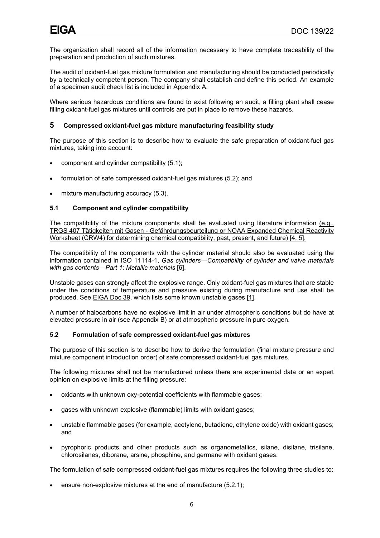The organization shall record all of the information necessary to have complete traceability of the preparation and production of such mixtures.

The audit of oxidant-fuel gas mixture formulation and manufacturing should be conducted periodically by a technically competent person. The company shall establish and define this period. An example of a specimen audit check list is included in Appendix A.

Where serious hazardous conditions are found to exist following an audit, a filling plant shall cease filling oxidant-fuel gas mixtures until controls are put in place to remove these hazards.

#### <span id="page-9-0"></span>**5 Compressed oxidant-fuel gas mixture manufacturing feasibility study**

The purpose of this section is to describe how to evaluate the safe preparation of oxidant-fuel gas mixtures, taking into account:

- component and cylinder compatibility (5.1);
- formulation of safe compressed oxidant-fuel gas mixtures (5.2); and
- mixture manufacturing accuracy (5.3).

#### <span id="page-9-1"></span>**5.1 Component and cylinder compatibility**

The compatibility of the mixture components shall be evaluated using literature information (e.g., TRGS 407 Tätigkeiten mit Gasen - Gefährdungsbeurteilung or NOAA Expanded Chemical Reactivity Worksheet (CRW4) for determining chemical compatibility, past, present, and future) [4, 5].

The compatibility of the components with the cylinder material should also be evaluated using the information contained in ISO 11114-1, *Gas cylinders—Compatibility of cylinder and valve materials with gas contents—Part 1*: *Metallic materials* [6].

Unstable gases can strongly affect the explosive range. Only oxidant-fuel gas mixtures that are stable under the conditions of temperature and pressure existing during manufacture and use shall be produced. See EIGA Doc 39, which lists some known unstable gases [1].

A number of halocarbons have no explosive limit in air under atmospheric conditions but do have at elevated pressure in air (see Appendix B) or at atmospheric pressure in pure oxygen.

#### <span id="page-9-2"></span>**5.2 Formulation of safe compressed oxidant-fuel gas mixtures**

The purpose of this section is to describe how to derive the formulation (final mixture pressure and mixture component introduction order) of safe compressed oxidant-fuel gas mixtures.

The following mixtures shall not be manufactured unless there are experimental data or an expert opinion on explosive limits at the filling pressure:

- oxidants with unknown oxy-potential coefficients with flammable gases;
- gases with unknown explosive (flammable) limits with oxidant gases;
- unstable flammable gases (for example, acetylene, butadiene, ethylene oxide) with oxidant gases; and
- pyrophoric products and other products such as organometallics, silane, disilane, trisilane, chlorosilanes, diborane, arsine, phosphine, and germane with oxidant gases.

The formulation of safe compressed oxidant-fuel gas mixtures requires the following three studies to:

ensure non-explosive mixtures at the end of manufacture (5.2.1);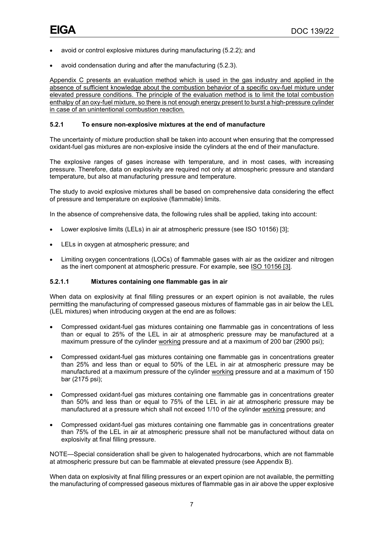- avoid or control explosive mixtures during manufacturing (5.2.2); and
- avoid condensation during and after the manufacturing (5.2.3).

Appendix C presents an evaluation method which is used in the gas industry and applied in the absence of sufficient knowledge about the combustion behavior of a specific oxy-fuel mixture under elevated pressure conditions. The principle of the evaluation method is to limit the total combustion enthalpy of an oxy-fuel mixture, so there is not enough energy present to burst a high-pressure cylinder in case of an unintentional combustion reaction.

#### **5.2.1 To ensure non-explosive mixtures at the end of manufacture**

The uncertainty of mixture production shall be taken into account when ensuring that the compressed oxidant-fuel gas mixtures are non-explosive inside the cylinders at the end of their manufacture.

The explosive ranges of gases increase with temperature, and in most cases, with increasing pressure. Therefore, data on explosivity are required not only at atmospheric pressure and standard temperature, but also at manufacturing pressure and temperature.

The study to avoid explosive mixtures shall be based on comprehensive data considering the effect of pressure and temperature on explosive (flammable) limits.

In the absence of comprehensive data, the following rules shall be applied, taking into account:

- Lower explosive limits (LELs) in air at atmospheric pressure (see ISO 10156) [3];
- LELs in oxygen at atmospheric pressure; and
- Limiting oxygen concentrations (LOCs) of flammable gases with air as the oxidizer and nitrogen as the inert component at atmospheric pressure. For example, see ISO 10156 [3].

#### **5.2.1.1 Mixtures containing one flammable gas in air**

When data on explosivity at final filling pressures or an expert opinion is not available, the rules permitting the manufacturing of compressed gaseous mixtures of flammable gas in air below the LEL (LEL mixtures) when introducing oxygen at the end are as follows:

- Compressed oxidant-fuel gas mixtures containing one flammable gas in concentrations of less than or equal to 25% of the LEL in air at atmospheric pressure may be manufactured at a maximum pressure of the cylinder working pressure and at a maximum of 200 bar (2900 psi);
- Compressed oxidant-fuel gas mixtures containing one flammable gas in concentrations greater than 25% and less than or equal to 50% of the LEL in air at atmospheric pressure may be manufactured at a maximum pressure of the cylinder working pressure and at a maximum of 150 bar (2175 psi);
- Compressed oxidant-fuel gas mixtures containing one flammable gas in concentrations greater than 50% and less than or equal to 75% of the LEL in air at atmospheric pressure may be manufactured at a pressure which shall not exceed 1/10 of the cylinder working pressure; and
- Compressed oxidant-fuel gas mixtures containing one flammable gas in concentrations greater than 75% of the LEL in air at atmospheric pressure shall not be manufactured without data on explosivity at final filling pressure.

NOTE—Special consideration shall be given to halogenated hydrocarbons, which are not flammable at atmospheric pressure but can be flammable at elevated pressure (see Appendix B).

When data on explosivity at final filling pressures or an expert opinion are not available, the permitting the manufacturing of compressed gaseous mixtures of flammable gas in air above the upper explosive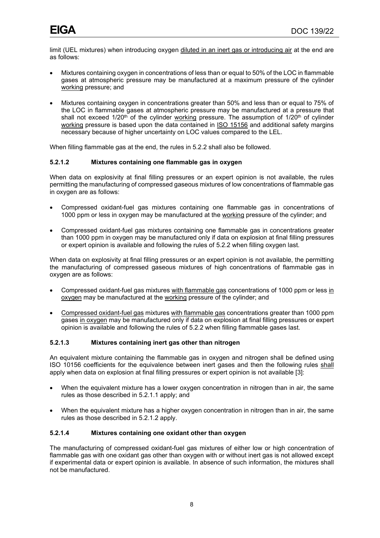limit (UEL mixtures) when introducing oxygen diluted in an inert gas or introducing air at the end are as follows:

- Mixtures containing oxygen in concentrations of less than or equal to 50% of the LOC in flammable gases at atmospheric pressure may be manufactured at a maximum pressure of the cylinder working pressure; and
- Mixtures containing oxygen in concentrations greater than 50% and less than or equal to 75% of the LOC in flammable gases at atmospheric pressure may be manufactured at a pressure that shall not exceed  $1/20^{th}$  of the cylinder working pressure. The assumption of  $1/20^{th}$  of cylinder working pressure is based upon the data contained in ISO 15156 and additional safety margins necessary because of higher uncertainty on LOC values compared to the LEL.

When filling flammable gas at the end, the rules in 5.2.2 shall also be followed.

#### **5.2.1.2 Mixtures containing one flammable gas in oxygen**

When data on explosivity at final filling pressures or an expert opinion is not available, the rules permitting the manufacturing of compressed gaseous mixtures of low concentrations of flammable gas in oxygen are as follows:

- Compressed oxidant-fuel gas mixtures containing one flammable gas in concentrations of 1000 ppm or less in oxygen may be manufactured at the working pressure of the cylinder; and
- Compressed oxidant-fuel gas mixtures containing one flammable gas in concentrations greater than 1000 ppm in oxygen may be manufactured only if data on explosion at final filling pressures or expert opinion is available and following the rules of 5.2.2 when filling oxygen last.

When data on explosivity at final filling pressures or an expert opinion is not available, the permitting the manufacturing of compressed gaseous mixtures of high concentrations of flammable gas in oxygen are as follows:

- Compressed oxidant-fuel gas mixtures with flammable gas concentrations of 1000 ppm or less in oxygen may be manufactured at the working pressure of the cylinder; and
- Compressed oxidant-fuel gas mixtures with flammable gas concentrations greater than 1000 ppm gases in oxygen may be manufactured only if data on explosion at final filling pressures or expert opinion is available and following the rules of 5.2.2 when filling flammable gases last.

#### **5.2.1.3 Mixtures containing inert gas other than nitrogen**

An equivalent mixture containing the flammable gas in oxygen and nitrogen shall be defined using ISO 10156 coefficients for the equivalence between inert gases and then the following rules shall apply when data on explosion at final filling pressures or expert opinion is not available [3]:

- When the equivalent mixture has a lower oxygen concentration in nitrogen than in air, the same rules as those described in 5.2.1.1 apply; and
- When the equivalent mixture has a higher oxygen concentration in nitrogen than in air, the same rules as those described in 5.2.1.2 apply.

#### **5.2.1.4 Mixtures containing one oxidant other than oxygen**

The manufacturing of compressed oxidant-fuel gas mixtures of either low or high concentration of flammable gas with one oxidant gas other than oxygen with or without inert gas is not allowed except if experimental data or expert opinion is available. In absence of such information, the mixtures shall not be manufactured.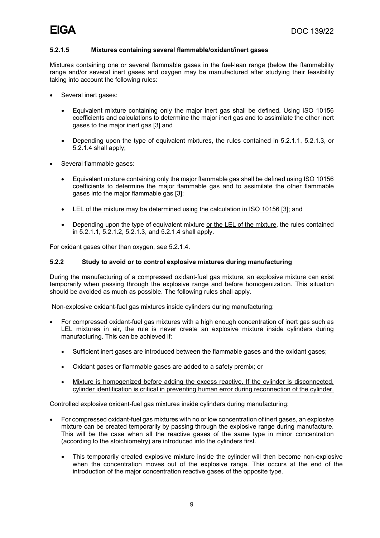#### **5.2.1.5 Mixtures containing several flammable/oxidant/inert gases**

Mixtures containing one or several flammable gases in the fuel-lean range (below the flammability range and/or several inert gases and oxygen may be manufactured after studying their feasibility taking into account the following rules:

- Several inert gases:
	- Equivalent mixture containing only the major inert gas shall be defined. Using ISO 10156 coefficients and calculations to determine the major inert gas and to assimilate the other inert gases to the major inert gas [3] and
	- Depending upon the type of equivalent mixtures, the rules contained in 5.2.1.1, 5.2.1.3, or 5.2.1.4 shall apply;
- Several flammable gases:
	- Equivalent mixture containing only the major flammable gas shall be defined using ISO 10156 coefficients to determine the major flammable gas and to assimilate the other flammable gases into the major flammable gas [3];
	- LEL of the mixture may be determined using the calculation in ISO 10156 [3]; and
	- Depending upon the type of equivalent mixture or the LEL of the mixture, the rules contained in 5.2.1.1, 5.2.1.2, 5.2.1.3, and 5.2.1.4 shall apply.

For oxidant gases other than oxygen, see 5.2.1.4.

#### **5.2.2 Study to avoid or to control explosive mixtures during manufacturing**

During the manufacturing of a compressed oxidant-fuel gas mixture, an explosive mixture can exist temporarily when passing through the explosive range and before homogenization. This situation should be avoided as much as possible. The following rules shall apply.

Non-explosive oxidant-fuel gas mixtures inside cylinders during manufacturing:

- For compressed oxidant-fuel gas mixtures with a high enough concentration of inert gas such as LEL mixtures in air, the rule is never create an explosive mixture inside cylinders during manufacturing. This can be achieved if:
	- Sufficient inert gases are introduced between the flammable gases and the oxidant gases;
	- Oxidant gases or flammable gases are added to a safety premix; or
	- Mixture is homogenized before adding the excess reactive. If the cylinder is disconnected, cylinder identification is critical in preventing human error during reconnection of the cylinder.

Controlled explosive oxidant-fuel gas mixtures inside cylinders during manufacturing:

- For compressed oxidant-fuel gas mixtures with no or low concentration of inert gases, an explosive mixture can be created temporarily by passing through the explosive range during manufacture. This will be the case when all the reactive gases of the same type in minor concentration (according to the stoichiometry) are introduced into the cylinders first.
	- This temporarily created explosive mixture inside the cylinder will then become non-explosive when the concentration moves out of the explosive range. This occurs at the end of the introduction of the major concentration reactive gases of the opposite type.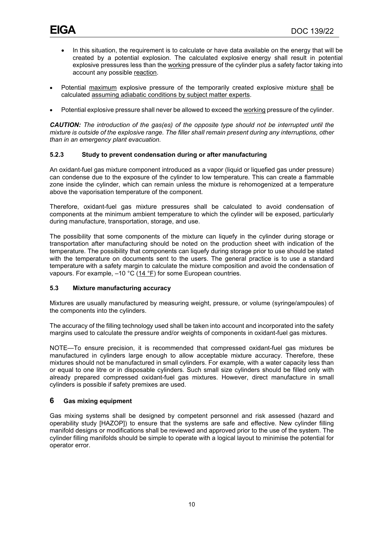- In this situation, the requirement is to calculate or have data available on the energy that will be created by a potential explosion. The calculated explosive energy shall result in potential explosive pressures less than the working pressure of the cylinder plus a safety factor taking into account any possible reaction.
- Potential maximum explosive pressure of the temporarily created explosive mixture shall be calculated assuming adiabatic conditions by subject matter experts.
- Potential explosive pressure shall never be allowed to exceed the working pressure of the cylinder.

*CAUTION: The introduction of the gas(es) of the opposite type should not be interrupted until the mixture is outside of the explosive range. The filler shall remain present during any interruptions, other than in an emergency plant evacuation.*

#### **5.2.3 Study to prevent condensation during or after manufacturing**

An oxidant-fuel gas mixture component introduced as a vapor (liquid or liquefied gas under pressure) can condense due to the exposure of the cylinder to low temperature. This can create a flammable zone inside the cylinder, which can remain unless the mixture is rehomogenized at a temperature above the vaporisation temperature of the component.

Therefore, oxidant-fuel gas mixture pressures shall be calculated to avoid condensation of components at the minimum ambient temperature to which the cylinder will be exposed, particularly during manufacture, transportation, storage, and use.

The possibility that some components of the mixture can liquefy in the cylinder during storage or transportation after manufacturing should be noted on the production sheet with indication of the temperature. The possibility that components can liquefy during storage prior to use should be stated with the temperature on documents sent to the users. The general practice is to use a standard temperature with a safety margin to calculate the mixture composition and avoid the condensation of vapours. For example,  $-10$  °C ( $14$  °F) for some European countries.

#### <span id="page-13-0"></span>**5.3 Mixture manufacturing accuracy**

Mixtures are usually manufactured by measuring weight, pressure, or volume (syringe/ampoules) of the components into the cylinders.

The accuracy of the filling technology used shall be taken into account and incorporated into the safety margins used to calculate the pressure and/or weights of components in oxidant-fuel gas mixtures.

NOTE—To ensure precision, it is recommended that compressed oxidant-fuel gas mixtures be manufactured in cylinders large enough to allow acceptable mixture accuracy. Therefore, these mixtures should not be manufactured in small cylinders. For example, with a water capacity less than or equal to one litre or in disposable cylinders. Such small size cylinders should be filled only with already prepared compressed oxidant-fuel gas mixtures. However, direct manufacture in small cylinders is possible if safety premixes are used.

#### <span id="page-13-1"></span>**6 Gas mixing equipment**

Gas mixing systems shall be designed by competent personnel and risk assessed (hazard and operability study [HAZOP]) to ensure that the systems are safe and effective. New cylinder filling manifold designs or modifications shall be reviewed and approved prior to the use of the system. The cylinder filling manifolds should be simple to operate with a logical layout to minimise the potential for operator error.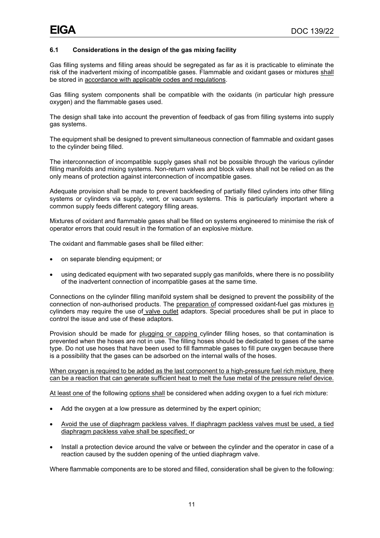#### <span id="page-14-0"></span>**6.1 Considerations in the design of the gas mixing facility**

Gas filling systems and filling areas should be segregated as far as it is practicable to eliminate the risk of the inadvertent mixing of incompatible gases. Flammable and oxidant gases or mixtures shall be stored in accordance with applicable codes and regulations.

Gas filling system components shall be compatible with the oxidants (in particular high pressure oxygen) and the flammable gases used.

The design shall take into account the prevention of feedback of gas from filling systems into supply gas systems.

The equipment shall be designed to prevent simultaneous connection of flammable and oxidant gases to the cylinder being filled.

The interconnection of incompatible supply gases shall not be possible through the various cylinder filling manifolds and mixing systems. Non-return valves and block valves shall not be relied on as the only means of protection against interconnection of incompatible gases.

Adequate provision shall be made to prevent backfeeding of partially filled cylinders into other filling systems or cylinders via supply, vent, or vacuum systems. This is particularly important where a common supply feeds different category filling areas.

Mixtures of oxidant and flammable gases shall be filled on systems engineered to minimise the risk of operator errors that could result in the formation of an explosive mixture.

The oxidant and flammable gases shall be filled either:

- on separate blending equipment; or
- using dedicated equipment with two separated supply gas manifolds, where there is no possibility of the inadvertent connection of incompatible gases at the same time.

Connections on the cylinder filling manifold system shall be designed to prevent the possibility of the connection of non-authorised products. The preparation of compressed oxidant-fuel gas mixtures in cylinders may require the use of valve outlet adaptors. Special procedures shall be put in place to control the issue and use of these adaptors.

Provision should be made for plugging or capping cylinder filling hoses, so that contamination is prevented when the hoses are not in use. The filling hoses should be dedicated to gases of the same type. Do not use hoses that have been used to fill flammable gases to fill pure oxygen because there is a possibility that the gases can be adsorbed on the internal walls of the hoses.

#### When oxygen is required to be added as the last component to a high-pressure fuel rich mixture, there can be a reaction that can generate sufficient heat to melt the fuse metal of the pressure relief device.

At least one of the following options shall be considered when adding oxygen to a fuel rich mixture:

- Add the oxygen at a low pressure as determined by the expert opinion;
- Avoid the use of diaphragm packless valves. If diaphragm packless valves must be used, a tied diaphragm packless valve shall be specified; or
- Install a protection device around the valve or between the cylinder and the operator in case of a reaction caused by the sudden opening of the untied diaphragm valve.

Where flammable components are to be stored and filled, consideration shall be given to the following: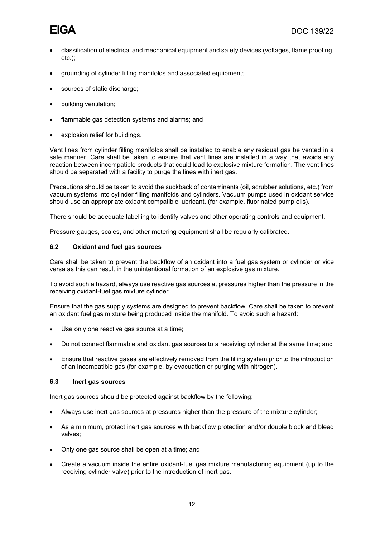- classification of electrical and mechanical equipment and safety devices (voltages, flame proofing, etc.);
- grounding of cylinder filling manifolds and associated equipment;
- sources of static discharge;
- building ventilation;
- flammable gas detection systems and alarms; and
- explosion relief for buildings.

Vent lines from cylinder filling manifolds shall be installed to enable any residual gas be vented in a safe manner. Care shall be taken to ensure that vent lines are installed in a way that avoids any reaction between incompatible products that could lead to explosive mixture formation. The vent lines should be separated with a facility to purge the lines with inert gas.

Precautions should be taken to avoid the suckback of contaminants (oil, scrubber solutions, etc.) from vacuum systems into cylinder filling manifolds and cylinders. Vacuum pumps used in oxidant service should use an appropriate oxidant compatible lubricant. (for example, fluorinated pump oils).

There should be adequate labelling to identify valves and other operating controls and equipment.

Pressure gauges, scales, and other metering equipment shall be regularly calibrated.

#### <span id="page-15-0"></span>**6.2 Oxidant and fuel gas sources**

Care shall be taken to prevent the backflow of an oxidant into a fuel gas system or cylinder or vice versa as this can result in the unintentional formation of an explosive gas mixture.

To avoid such a hazard, always use reactive gas sources at pressures higher than the pressure in the receiving oxidant-fuel gas mixture cylinder.

Ensure that the gas supply systems are designed to prevent backflow. Care shall be taken to prevent an oxidant fuel gas mixture being produced inside the manifold. To avoid such a hazard:

- Use only one reactive gas source at a time;
- Do not connect flammable and oxidant gas sources to a receiving cylinder at the same time; and
- Ensure that reactive gases are effectively removed from the filling system prior to the introduction of an incompatible gas (for example, by evacuation or purging with nitrogen).

#### <span id="page-15-1"></span>**6.3 Inert gas sources**

Inert gas sources should be protected against backflow by the following:

- Always use inert gas sources at pressures higher than the pressure of the mixture cylinder;
- As a minimum, protect inert gas sources with backflow protection and/or double block and bleed valves;
- Only one gas source shall be open at a time; and
- Create a vacuum inside the entire oxidant-fuel gas mixture manufacturing equipment (up to the receiving cylinder valve) prior to the introduction of inert gas.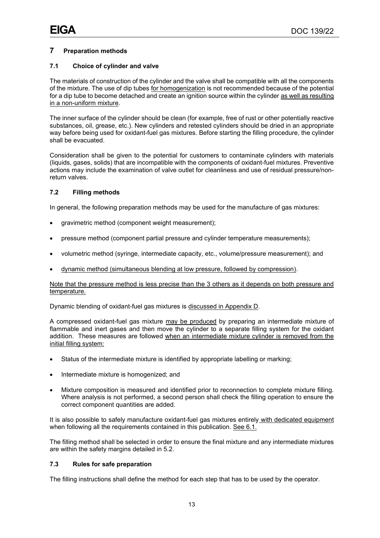#### <span id="page-16-0"></span>**7 Preparation methods**

#### <span id="page-16-1"></span>**7.1 Choice of cylinder and valve**

The materials of construction of the cylinder and the valve shall be compatible with all the components of the mixture. The use of dip tubes for homogenization is not recommended because of the potential for a dip tube to become detached and create an ignition source within the cylinder as well as resulting in a non-uniform mixture.

The inner surface of the cylinder should be clean (for example, free of rust or other potentially reactive substances, oil, grease, etc.). New cylinders and retested cylinders should be dried in an appropriate way before being used for oxidant-fuel gas mixtures. Before starting the filling procedure, the cylinder shall be evacuated.

Consideration shall be given to the potential for customers to contaminate cylinders with materials (liquids, gases, solids) that are incompatible with the components of oxidant-fuel mixtures. Preventive actions may include the examination of valve outlet for cleanliness and use of residual pressure/nonreturn valves.

#### <span id="page-16-2"></span>**7.2 Filling methods**

In general, the following preparation methods may be used for the manufacture of gas mixtures:

- gravimetric method (component weight measurement);
- pressure method (component partial pressure and cylinder temperature measurements);
- volumetric method (syringe, intermediate capacity, etc., volume/pressure measurement); and
- dynamic method (simultaneous blending at low pressure, followed by compression).

#### Note that the pressure method is less precise than the 3 others as it depends on both pressure and temperature.

Dynamic blending of oxidant-fuel gas mixtures is discussed in Appendix D.

A compressed oxidant-fuel gas mixture may be produced by preparing an intermediate mixture of flammable and inert gases and then move the cylinder to a separate filling system for the oxidant addition. These measures are followed when an intermediate mixture cylinder is removed from the initial filling system:

- Status of the intermediate mixture is identified by appropriate labelling or marking;
- Intermediate mixture is homogenized; and
- Mixture composition is measured and identified prior to reconnection to complete mixture filling. Where analysis is not performed, a second person shall check the filling operation to ensure the correct component quantities are added.

It is also possible to safely manufacture oxidant-fuel gas mixtures entirely with dedicated equipment when following all the requirements contained in this publication. See 6.1.

The filling method shall be selected in order to ensure the final mixture and any intermediate mixtures are within the safety margins detailed in 5.2.

#### <span id="page-16-3"></span>**7.3 Rules for safe preparation**

The filling instructions shall define the method for each step that has to be used by the operator.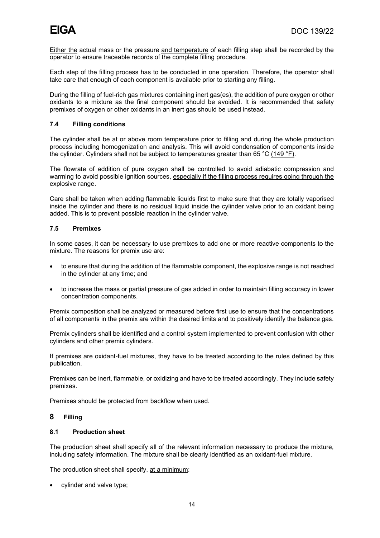Either the actual mass or the pressure and temperature of each filling step shall be recorded by the operator to ensure traceable records of the complete filling procedure.

Each step of the filling process has to be conducted in one operation. Therefore, the operator shall take care that enough of each component is available prior to starting any filling.

During the filling of fuel-rich gas mixtures containing inert gas(es), the addition of pure oxygen or other oxidants to a mixture as the final component should be avoided. It is recommended that safety premixes of oxygen or other oxidants in an inert gas should be used instead.

#### <span id="page-17-0"></span>**7.4 Filling conditions**

The cylinder shall be at or above room temperature prior to filling and during the whole production process including homogenization and analysis. This will avoid condensation of components inside the cylinder. Cylinders shall not be subject to temperatures greater than 65 °C (149 °F).

The flowrate of addition of pure oxygen shall be controlled to avoid adiabatic compression and warming to avoid possible ignition sources, especially if the filling process requires going through the explosive range.

Care shall be taken when adding flammable liquids first to make sure that they are totally vaporised inside the cylinder and there is no residual liquid inside the cylinder valve prior to an oxidant being added. This is to prevent possible reaction in the cylinder valve.

#### <span id="page-17-1"></span>**7.5 Premixes**

In some cases, it can be necessary to use premixes to add one or more reactive components to the mixture. The reasons for premix use are:

- to ensure that during the addition of the flammable component, the explosive range is not reached in the cylinder at any time; and
- to increase the mass or partial pressure of gas added in order to maintain filling accuracy in lower concentration components.

Premix composition shall be analyzed or measured before first use to ensure that the concentrations of all components in the premix are within the desired limits and to positively identify the balance gas.

Premix cylinders shall be identified and a control system implemented to prevent confusion with other cylinders and other premix cylinders.

If premixes are oxidant-fuel mixtures, they have to be treated according to the rules defined by this publication.

Premixes can be inert, flammable, or oxidizing and have to be treated accordingly. They include safety premixes.

Premixes should be protected from backflow when used.

#### <span id="page-17-2"></span>**8 Filling**

#### <span id="page-17-3"></span>**8.1 Production sheet**

The production sheet shall specify all of the relevant information necessary to produce the mixture, including safety information. The mixture shall be clearly identified as an oxidant-fuel mixture.

The production sheet shall specify, at a minimum:

• cylinder and valve type;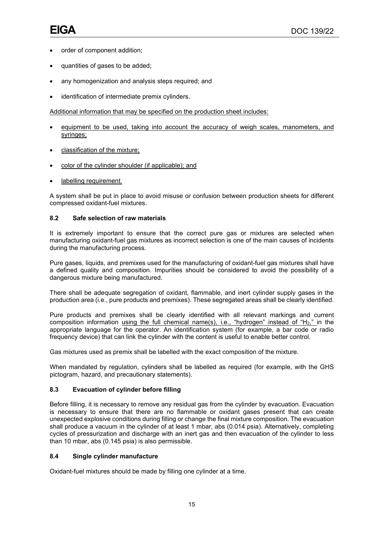- order of component addition;
- quantities of gases to be added;
- any homogenization and analysis steps required; and
- identification of intermediate premix cylinders.

Additional information that may be specified on the production sheet includes:

- equipment to be used, taking into account the accuracy of weigh scales, manometers, and syringes;
- classification of the mixture;
- color of the cylinder shoulder (if applicable); and
- labelling requirement.

A system shall be put in place to avoid misuse or confusion between production sheets for different compressed oxidant-fuel mixtures.

#### <span id="page-18-0"></span>**8.2 Safe selection of raw materials**

It is extremely important to ensure that the correct pure gas or mixtures are selected when manufacturing oxidant-fuel gas mixtures as incorrect selection is one of the main causes of incidents during the manufacturing process.

Pure gases, liquids, and premixes used for the manufacturing of oxidant-fuel gas mixtures shall have a defined quality and composition. Impurities should be considered to avoid the possibility of a dangerous mixture being manufactured.

There shall be adequate segregation of oxidant, flammable, and inert cylinder supply gases in the production area (i.e., pure products and premixes). These segregated areas shall be clearly identified.

Pure products and premixes shall be clearly identified with all relevant markings and current composition information using the full chemical name(s), i.e., "hydrogen" instead of "H2," in the appropriate language for the operator. An identification system (for example, a bar code or radio frequency device) that can link the cylinder with the content is useful to enable better control.

Gas mixtures used as premix shall be labelled with the exact composition of the mixture.

When mandated by regulation, cylinders shall be labelled as required (for example, with the GHS pictogram, hazard, and precautionary statements).

#### <span id="page-18-1"></span>**8.3 Evacuation of cylinder before filling**

Before filling, it is necessary to remove any residual gas from the cylinder by evacuation. Evacuation is necessary to ensure that there are no flammable or oxidant gases present that can create unexpected explosive conditions during filling or change the final mixture composition. The evacuation shall produce a vacuum in the cylinder of at least 1 mbar, abs (0.014 psia). Alternatively, completing cycles of pressurization and discharge with an inert gas and then evacuation of the cylinder to less than 10 mbar, abs (0.145 psia) is also permissible.

#### <span id="page-18-2"></span>**8.4 Single cylinder manufacture**

Oxidant-fuel mixtures should be made by filling one cylinder at a time.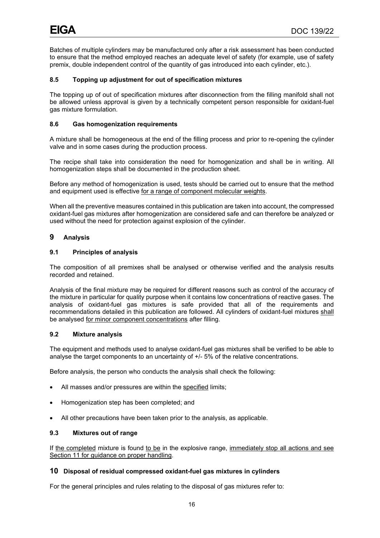Batches of multiple cylinders may be manufactured only after a risk assessment has been conducted to ensure that the method employed reaches an adequate level of safety (for example, use of safety premix, double independent control of the quantity of gas introduced into each cylinder, etc.).

#### <span id="page-19-0"></span>**8.5 Topping up adjustment for out of specification mixtures**

The topping up of out of specification mixtures after disconnection from the filling manifold shall not be allowed unless approval is given by a technically competent person responsible for oxidant-fuel gas mixture formulation.

#### <span id="page-19-1"></span>**8.6 Gas homogenization requirements**

A mixture shall be homogeneous at the end of the filling process and prior to re-opening the cylinder valve and in some cases during the production process.

The recipe shall take into consideration the need for homogenization and shall be in writing. All homogenization steps shall be documented in the production sheet.

Before any method of homogenization is used, tests should be carried out to ensure that the method and equipment used is effective for a range of component molecular weights.

When all the preventive measures contained in this publication are taken into account, the compressed oxidant-fuel gas mixtures after homogenization are considered safe and can therefore be analyzed or used without the need for protection against explosion of the cylinder.

#### <span id="page-19-2"></span>**9 Analysis**

#### <span id="page-19-3"></span>**9.1 Principles of analysis**

The composition of all premixes shall be analysed or otherwise verified and the analysis results recorded and retained.

Analysis of the final mixture may be required for different reasons such as control of the accuracy of the mixture in particular for quality purpose when it contains low concentrations of reactive gases. The analysis of oxidant-fuel gas mixtures is safe provided that all of the requirements and recommendations detailed in this publication are followed. All cylinders of oxidant-fuel mixtures shall be analysed for minor component concentrations after filling.

#### <span id="page-19-4"></span>**9.2 Mixture analysis**

The equipment and methods used to analyse oxidant-fuel gas mixtures shall be verified to be able to analyse the target components to an uncertainty of +/- 5% of the relative concentrations.

Before analysis, the person who conducts the analysis shall check the following:

- All masses and/or pressures are within the specified limits;
- Homogenization step has been completed; and
- All other precautions have been taken prior to the analysis, as applicable.

#### <span id="page-19-5"></span>**9.3 Mixtures out of range**

If the completed mixture is found to be in the explosive range, immediately stop all actions and see Section 11 for guidance on proper handling.

#### <span id="page-19-6"></span>**10 Disposal of residual compressed oxidant-fuel gas mixtures in cylinders**

For the general principles and rules relating to the disposal of gas mixtures refer to: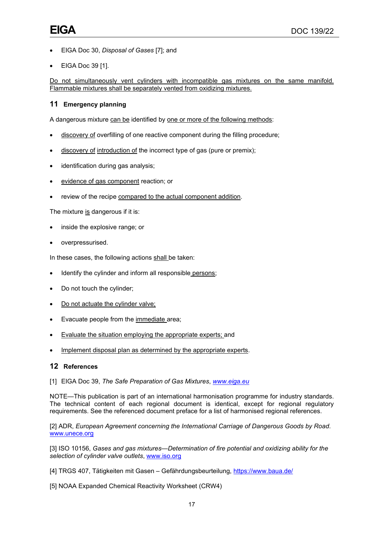- EIGA Doc 30, *Disposal of Gases* [7]; and
- EIGA Doc 39 [1].

Do not simultaneously vent cylinders with incompatible gas mixtures on the same manifold. Flammable mixtures shall be separately vented from oxidizing mixtures.

#### <span id="page-20-0"></span>**11 Emergency planning**

A dangerous mixture can be identified by one or more of the following methods:

- discovery of overfilling of one reactive component during the filling procedure;
- discovery of introduction of the incorrect type of gas (pure or premix);
- identification during gas analysis;
- evidence of gas component reaction; or
- review of the recipe compared to the actual component addition.

The mixture is dangerous if it is:

- inside the explosive range; or
- overpressurised.

In these cases, the following actions shall be taken:

- Identify the cylinder and inform all responsible persons;
- Do not touch the cylinder;
- Do not actuate the cylinder valve;
- Evacuate people from the immediate area;
- Evaluate the situation employing the appropriate experts; and
- Implement disposal plan as determined by the appropriate experts.

#### <span id="page-20-1"></span>**12 References**

[1] EIGA Doc 39, *The Safe Preparation of Gas Mixtures*, *[www.eiga.eu](http://www.eiga.eu/)*

NOTE—This publication is part of an international harmonisation programme for industry standards. The technical content of each regional document is identical, except for regional regulatory requirements. See the referenced document preface for a list of harmonised regional references.

[2] ADR, *European Agreement concerning the International Carriage of Dangerous Goods by Road*. [www.unece.org](http://www.unece.org/)

[3] ISO 10156, *Gases and gas mixtures—Determination of fire potential and oxidizing ability for the selection of cylinder valve outlets*, [www.iso.org](http://www.iso.org/)

- [4] TRGS 407, Tätigkeiten mit Gasen Gefährdungsbeurteilung,<https://www.baua.de/>
- [5] NOAA Expanded Chemical Reactivity Worksheet (CRW4)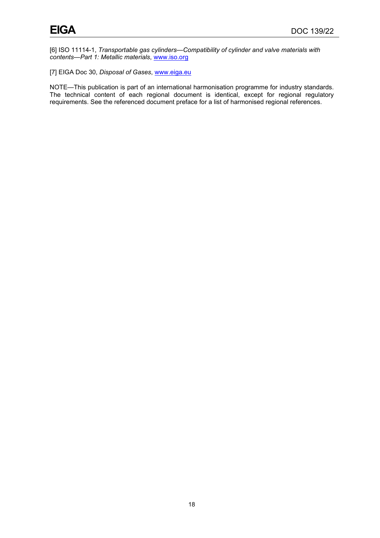[6] ISO 11114-1, *Transportable gas cylinders—Compatibility of cylinder and valve materials with contents—Part 1: Metallic materials*, [www.iso.org](http://www.iso.org/)

[7] EIGA Doc 30, *Disposal of Gases*, [www.eiga.eu](http://www.eiga.eu/)

NOTE—This publication is part of an international harmonisation programme for industry standards. The technical content of each regional document is identical, except for regional regulatory requirements. See the referenced document preface for a list of harmonised regional references.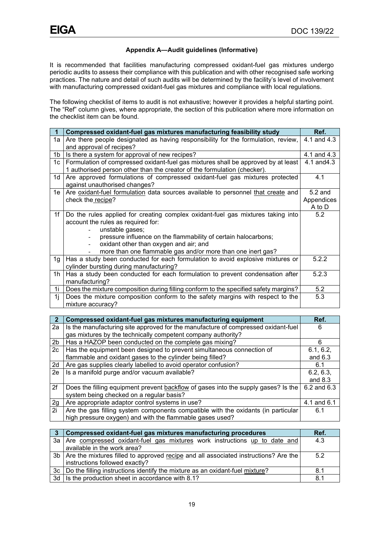#### **Appendix A—Audit guidelines (Informative)**

<span id="page-22-0"></span>It is recommended that facilities manufacturing compressed oxidant-fuel gas mixtures undergo periodic audits to assess their compliance with this publication and with other recognised safe working practices. The nature and detail of such audits will be determined by the facility's level of involvement with manufacturing compressed oxidant-fuel gas mixtures and compliance with local regulations.

The following checklist of items to audit is not exhaustive; however it provides a helpful starting point. The "Ref" column gives, where appropriate, the section of this publication where more information on the checklist item can be found.

|                | Compressed oxidant-fuel gas mixtures manufacturing feasibility study                 | Ref.                     |
|----------------|--------------------------------------------------------------------------------------|--------------------------|
| 1a             | Are there people designated as having responsibility for the formulation, review,    | $\overline{4.1}$ and 4.3 |
|                | and approval of recipes?                                                             |                          |
| 1b             | Is there a system for approval of new recipes?                                       | 4.1 and 4.3              |
| 1c             | Formulation of compressed oxidant-fuel gas mixtures shall be approved by at least    | 4.1 and 4.3              |
|                | 1 authorised person other than the creator of the formulation (checker).             |                          |
| 1 <sub>d</sub> | Are approved formulations of compressed oxidant-fuel gas mixtures protected          | 4.1                      |
|                | against unauthorised changes?                                                        |                          |
| 1e             | Are oxidant-fuel formulation data sources available to personnel that create and     | $5.2$ and                |
|                | check the recipe?                                                                    | Appendices               |
|                |                                                                                      | A to D                   |
| 1f             | Do the rules applied for creating complex oxidant-fuel gas mixtures taking into      | 5.2                      |
|                | account the rules as required for:                                                   |                          |
|                | unstable gases;                                                                      |                          |
|                | pressure influence on the flammability of certain halocarbons;                       |                          |
|                | oxidant other than oxygen and air; and                                               |                          |
|                | more than one flammable gas and/or more than one inert gas?                          |                          |
| 1 <sub>g</sub> | Has a study been conducted for each formulation to avoid explosive mixtures or       | 5.2.2                    |
|                | cylinder bursting during manufacturing?                                              |                          |
| 1h             | Has a study been conducted for each formulation to prevent condensation after        | 5.2.3                    |
|                | manufacturing?                                                                       |                          |
| 1i             | Does the mixture composition during filling conform to the specified safety margins? | 5.2                      |
| 1 <sub>i</sub> | Does the mixture composition conform to the safety margins with respect to the       | 5.3                      |
|                | mixture accuracy?                                                                    |                          |

| $\overline{2}$  | Compressed oxidant-fuel gas mixtures manufacturing equipment                       | Ref.            |
|-----------------|------------------------------------------------------------------------------------|-----------------|
| $\overline{2a}$ | Is the manufacturing site approved for the manufacture of compressed oxidant-fuel  | 6               |
|                 | gas mixtures by the technically competent company authority?                       |                 |
| 2 <sub>b</sub>  | Has a HAZOP been conducted on the complete gas mixing?                             | 6               |
| 2c              | Has the equipment been designed to prevent simultaneous connection of              | 6.1, 6.2,       |
|                 | flammable and oxidant gases to the cylinder being filled?                          | and $6.3$       |
| $\overline{2}d$ | Are gas supplies clearly labelled to avoid operator confusion?                     | 6.1             |
| 2e              | Is a manifold purge and/or vacuum available?                                       | 6.2, 6.3,       |
|                 |                                                                                    | and $8.3$       |
| 2f              | Does the filling equipment prevent backflow of gases into the supply gases? Is the | $6.2$ and $6.3$ |
|                 | system being checked on a regular basis?                                           |                 |
| $\frac{2g}{2i}$ | Are appropriate adaptor control systems in use?                                    | 4.1 and 6.1     |
|                 | Are the gas filling system components compatible with the oxidants (in particular  | 6.1             |
|                 | high pressure oxygen) and with the flammable gases used?                           |                 |

|    | Compressed oxidant-fuel gas mixtures manufacturing procedures                            | Ref. |
|----|------------------------------------------------------------------------------------------|------|
|    | 3a Are compressed oxidant-fuel gas mixtures work instructions up to date and             | 4.3  |
|    | available in the work area?                                                              |      |
|    | 3b   Are the mixtures filled to approved recipe and all associated instructions? Are the | 5.2  |
|    | instructions followed exactly?                                                           |      |
|    | 3c   Do the filling instructions identify the mixture as an oxidant-fuel mixture?        | 8.1  |
| 3d | Is the production sheet in accordance with 8.1?                                          | 81   |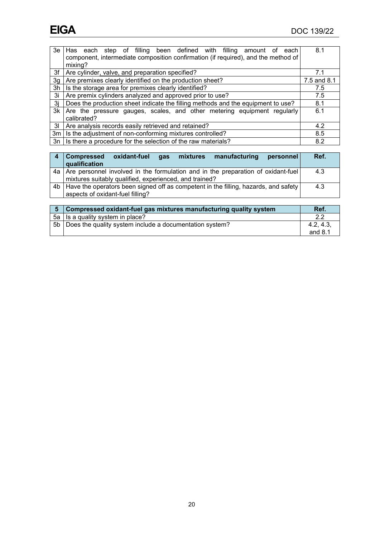|    | 3e Has each step of filling been defined with filling amount of<br>each<br>component, intermediate composition confirmation (if required), and the method of<br>mixing? | 8.1         |
|----|-------------------------------------------------------------------------------------------------------------------------------------------------------------------------|-------------|
| 3f | Are cylinder, valve, and preparation specified?                                                                                                                         | 7.1         |
| 3g | Are premixes clearly identified on the production sheet?                                                                                                                | 7.5 and 8.1 |
| 3h | Is the storage area for premixes clearly identified?                                                                                                                    | 7.5         |
| 3i | Are premix cylinders analyzed and approved prior to use?                                                                                                                | 7.5         |
| 3i | Does the production sheet indicate the filling methods and the equipment to use?                                                                                        | 8.1         |
| 3k | Are the pressure gauges, scales, and other metering equipment regularly<br>calibrated?                                                                                  | 6.1         |
| 31 | Are analysis records easily retrieved and retained?                                                                                                                     | 4.2         |
| 3m | Is the adjustment of non-conforming mixtures controlled?                                                                                                                | 8.5         |
| 3n | Is there a procedure for the selection of the raw materials?                                                                                                            | 8.2         |

| <b>Compressed</b><br>manufacturing<br>oxidant-fuel<br>mixtures<br><b>a</b> s<br>personnel<br>qualification                                    | Ref. |
|-----------------------------------------------------------------------------------------------------------------------------------------------|------|
| 4a Are personnel involved in the formulation and in the preparation of oxidant-fuel<br>mixtures suitably qualified, experienced, and trained? | 4.3  |
| 4b   Have the operators been signed off as competent in the filling, hazards, and safety<br>aspects of oxidant-fuel filling?                  | 4.3  |
|                                                                                                                                               |      |

| 5 Compressed oxidant-fuel gas mixtures manufacturing quality system | Ref.      |
|---------------------------------------------------------------------|-----------|
| 5a   Is a quality system in place?                                  |           |
| 5b   Does the quality system include a documentation system?        | 4.2, 4.3, |
|                                                                     | and $8.1$ |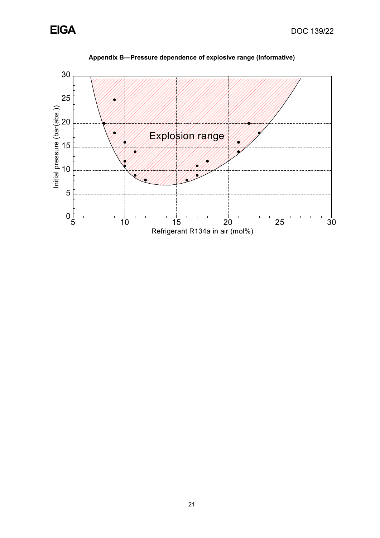

<span id="page-24-0"></span>

**Appendix B—Pressure dependence of explosive range (Informative)**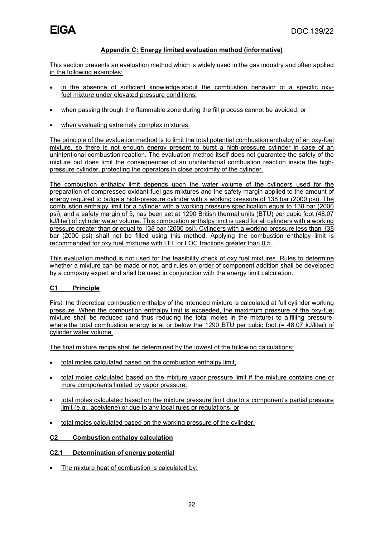#### **Appendix C: Energy limited evaluation method (informative)**

<span id="page-25-0"></span>This section presents an evaluation method which is widely used in the gas industry and often applied in the following examples:

- in the absence of sufficient knowledge about the combustion behavior of a specific oxyfuel mixture under elevated pressure conditions;
- when passing through the flammable zone during the fill process cannot be avoided; or
- when evaluating extremely complex mixtures.

The principle of the evaluation method is to limit the total potential combustion enthalpy of an oxy-fuel mixture, so there is not enough energy present to burst a high-pressure cylinder in case of an unintentional combustion reaction. The evaluation method itself does not guarantee the safety of the mixture but does limit the consequences of an unintentional combustion reaction inside the highpressure cylinder, protecting the operators in close proximity of the cylinder.

The combustion enthalpy limit depends upon the water volume of the cylinders used for the preparation of compressed oxidant-fuel gas mixtures and the safety margin applied to the amount of energy required to bulge a high-pressure cylinder with a working pressure of 138 bar (2000 psi). The combustion enthalpy limit for a cylinder with a working pressure specification equal to 138 bar (2000 psi), and a safety margin of 5, has been set at 1290 British thermal units (BTU) per cubic foot (48.07 kJ/liter) of cylinder water volume. This combustion enthalpy limit is used for all cylinders with a working pressure greater than or equal to 138 bar (2000 psi). Cylinders with a working pressure less than 138 bar (2000 psi) shall not be filled using this method. Applying the combustion enthalpy limit is recommended for oxy fuel mixtures with LEL or LOC fractions greater than 0.5.

This evaluation method is not used for the feasibility check of oxy fuel mixtures. Rules to determine whether a mixture can be made or not, and rules on order of component addition shall be developed by a company expert and shall be used in conjunction with the energy limit calculation.

#### **C1 Principle**

First, the theoretical combustion enthalpy of the intended mixture is calculated at full cylinder working pressure. When the combustion enthalpy limit is exceeded, the maximum pressure of the oxy-fuel mixture shall be reduced (and thus reducing the total moles in the mixture) to a filling pressure, where the total combustion energy is at or below the 1290 BTU per cubic foot (= 48.07 kJ/liter) of cylinder water volume.

The final mixture recipe shall be determined by the lowest of the following calculations:

- total moles calculated based on the combustion enthalpy limit,
- total moles calculated based on the mixture vapor pressure limit if the mixture contains one or more components limited by vapor pressure,
- total moles calculated based on the mixture pressure limit due to a component's partial pressure limit (e.g., acetylene) or due to any local rules or regulations, or
- total moles calculated based on the working pressure of the cylinder.

#### **C2 Combustion enthalpy calculation**

#### **C2.1 Determination of energy potential**

The mixture heat of combustion is calculated by: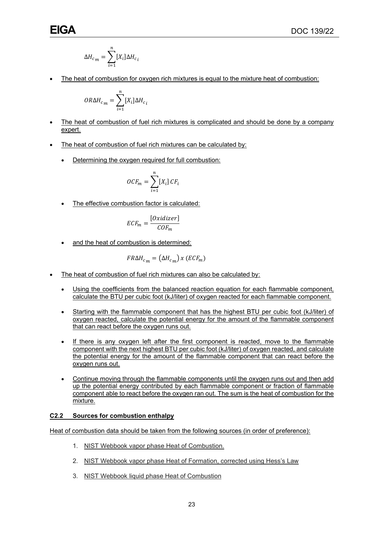$$
\Delta H_{c_m} = \sum_{i=1}^{n} [X_i] \Delta H_{c_i}
$$

• The heat of combustion for oxygen rich mixtures is equal to the mixture heat of combustion:

$$
OR \Delta H_{c_m} = \sum_{i=1}^{n} [X_i] \Delta H_{c_i}
$$

- The heat of combustion of fuel rich mixtures is complicated and should be done by a company expert.
- The heat of combustion of fuel rich mixtures can be calculated by:
	- Determining the oxygen required for full combustion:

$$
OCF_m = \sum_{i=1}^{n} [X_i] CF_i
$$

The effective combustion factor is calculated:

$$
ECF_m = \frac{[Oxidizer]}{COF_m}
$$

and the heat of combustion is determined:

$$
FR\Delta H_{c_m} = \left(\Delta H_{c_m}\right) x \left( ECF_m\right)
$$

- The heat of combustion of fuel rich mixtures can also be calculated by:
	- Using the coefficients from the balanced reaction equation for each flammable component, calculate the BTU per cubic foot (kJ/liter) of oxygen reacted for each flammable component.
	- Starting with the flammable component that has the highest BTU per cubic foot (kJ/liter) of oxygen reacted, calculate the potential energy for the amount of the flammable component that can react before the oxygen runs out.
	- If there is any oxygen left after the first component is reacted, move to the flammable component with the next highest BTU per cubic foot (kJ/liter) of oxygen reacted, and calculate the potential energy for the amount of the flammable component that can react before the oxygen runs out.
	- Continue moving through the flammable components until the oxygen runs out and then add up the potential energy contributed by each flammable component or fraction of flammable component able to react before the oxygen ran out. The sum is the heat of combustion for the mixture.

#### **C2.2 Sources for combustion enthalpy**

Heat of combustion data should be taken from the following sources (in order of preference):

- 1. NIST Webbook vapor phase Heat of Combustion.
- 2. NIST Webbook vapor phase Heat of Formation, corrected using Hess's Law
- 3. NIST Webbook liquid phase Heat of Combustion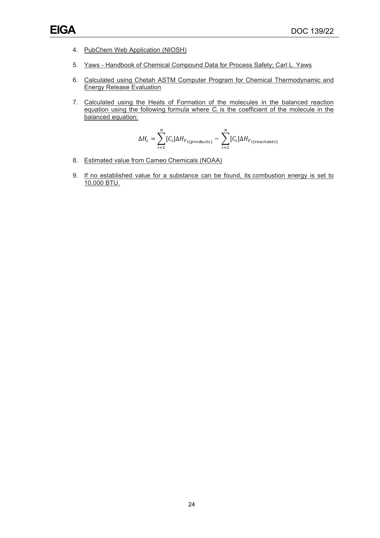- 4. PubChem Web Application (NIOSH)
- 5. Yaws Handbook of Chemical Compound Data for Process Safety; Carl L. Yaws
- 6. Calculated using Chetah ASTM Computer Program for Chemical Thermodynamic and Energy Release Evaluation
- 7. Calculated using the Heats of Formation of the molecules in the balanced reaction equation using the following formula where  $C_i$  is the coefficient of the molecule in the balanced equation:

$$
\Delta H_c = \sum_{i=1}^{n} [C_i] \Delta H_{F_{i(products)}} - \sum_{i=1}^{n} [C_i] \Delta H_{F_{i(reactants)}}
$$

- 8. Estimated value from Cameo Chemicals (NOAA)
- 9. If no established value for a substance can be found, its combustion energy is set to 10,000 BTU.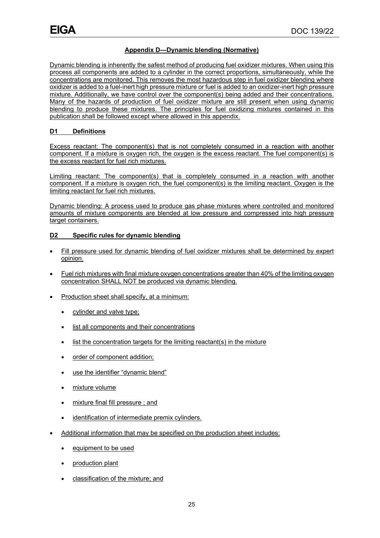#### **Appendix D—Dynamic blending (Normative)**

Dynamic blending is inherently the safest method of producing fuel oxidizer mixtures. When using this process all components are added to a cylinder in the correct proportions, simultaneously, while the concentrations are monitored. This removes the most hazardous step in fuel oxidizer blending where oxidizer is added to a fuel-inert high pressure mixture or fuel is added to an oxidizer-inert high pressure mixture. Additionally, we have control over the component(s) being added and their concentrations. Many of the hazards of production of fuel oxidizer mixture are still present when using dynamic blending to produce these mixtures. The principles for fuel oxidizing mixtures contained in this publication shall be followed except where allowed in this appendix.

#### **D1 Definitions**

Excess reactant: The component(s) that is not completely consumed in a reaction with another component. If a mixture is oxygen rich, the oxygen is the excess reactant. The fuel component(s) is the excess reactant for fuel rich mixtures.

Limiting reactant: The component(s) that is completely consumed in a reaction with another component. If a mixture is oxygen rich, the fuel component(s) is the limiting reactant. Oxygen is the limiting reactant for fuel rich mixtures.

Dynamic blending: A process used to produce gas phase mixtures where controlled and monitored amounts of mixture components are blended at low pressure and compressed into high pressure target containers.

#### **D2 Specific rules for dynamic blending**

- Fill pressure used for dynamic blending of fuel oxidizer mixtures shall be determined by expert opinion.
- Fuel rich mixtures with final mixture oxygen concentrations greater than 40% of the limiting oxygen concentration SHALL NOT be produced via dynamic blending.
- Production sheet shall specify, at a minimum:
	- cylinder and valve type;
	- list all components and their concentrations
	- list the concentration targets for the limiting reactant(s) in the mixture
	- order of component addition;
	- use the identifier "dynamic blend"
	- mixture volume
	- mixture final fill pressure ; and
	- identification of intermediate premix cylinders.
- Additional information that may be specified on the production sheet includes:
	- equipment to be used
	- production plant
	- classification of the mixture; and